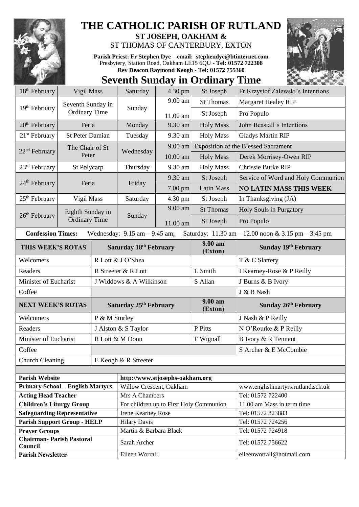

**Chairman- Parish Pastoral** 

## **THE CATHOLIC PARISH OF RUTLAND**

**ST JOSEPH, OAKHAM &**  ST THOMAS OF CANTERBURY, EXTON

**Parish Priest: Fr Stephen Dye** – **[email: stephendye@btinternet.com](mailto:email:%20%20stephendye@btinternet.com)** Presbytery, Station Road, Oakham LE15 6QU - **Tel: 01572 722308 Rev Deacon Raymond Keogh - Tel: 01572 755360**

## **Seventh Sunday in Ordinary Time**

| 18 <sup>th</sup> February                                                                                                                               | Vigil Mass                                                             |                                    | Saturday                                                  | 4.30 pm  | St Joseph          | Fr Krzystof Zalewski's Intentions          |  |  |
|---------------------------------------------------------------------------------------------------------------------------------------------------------|------------------------------------------------------------------------|------------------------------------|-----------------------------------------------------------|----------|--------------------|--------------------------------------------|--|--|
|                                                                                                                                                         | Seventh Sunday in<br>19 <sup>th</sup> February<br><b>Ordinary Time</b> |                                    | Sunday                                                    | 9.00 am  | <b>St Thomas</b>   | Margaret Healey RIP                        |  |  |
|                                                                                                                                                         |                                                                        |                                    |                                                           | 11.00 am | St Joseph          | Pro Populo                                 |  |  |
| 20 <sup>th</sup> February                                                                                                                               | Feria                                                                  |                                    | Monday                                                    | 9.30 am  | <b>Holy Mass</b>   | John Beastall's Intentions                 |  |  |
| $21st$ February                                                                                                                                         | <b>St Peter Damian</b>                                                 |                                    | Tuesday                                                   | 9.30 am  | <b>Holy Mass</b>   | <b>Gladys Martin RIP</b>                   |  |  |
|                                                                                                                                                         | The Chair of St                                                        |                                    |                                                           | 9.00 am  |                    | <b>Exposition of the Blessed Sacrament</b> |  |  |
| 22 <sup>nd</sup> February<br>Peter                                                                                                                      |                                                                        |                                    | Wednesday                                                 | 10.00 am | <b>Holy Mass</b>   | Derek Morrisey-Owen RIP                    |  |  |
| $23rd$ February                                                                                                                                         | St Polycarp                                                            |                                    | Thursday                                                  | 9.30 am  | <b>Holy Mass</b>   | Chrissie Burke RIP                         |  |  |
|                                                                                                                                                         | Feria                                                                  |                                    | Friday                                                    | 9.30 am  | St Joseph          | Service of Word and Holy Communion         |  |  |
| 24 <sup>th</sup> February                                                                                                                               |                                                                        |                                    |                                                           | 7.00 pm  | <b>Latin Mass</b>  | <b>NO LATIN MASS THIS WEEK</b>             |  |  |
| $25th$ February                                                                                                                                         | Vigil Mass                                                             |                                    | Saturday                                                  | 4.30 pm  | St Joseph          | In Thanksgiving (JA)                       |  |  |
|                                                                                                                                                         | Eighth Sunday in                                                       |                                    |                                                           | 9.00 am  | <b>St Thomas</b>   | Holy Souls in Purgatory                    |  |  |
| 26 <sup>th</sup> February                                                                                                                               | <b>Ordinary Time</b>                                                   |                                    | Sunday                                                    | 11.00 am | St Joseph          | Pro Populo                                 |  |  |
| <b>Confession Times:</b><br>Wednesday: $9.15$ am $- 9.45$ am;<br>Saturday: $11.30 \text{ am} - 12.00 \text{ noon} \& 3.15 \text{ pm} - 3.45 \text{ pm}$ |                                                                        |                                    |                                                           |          |                    |                                            |  |  |
| THIS WEEK'S ROTAS                                                                                                                                       |                                                                        |                                    | Saturday 18th February                                    |          | 9.00 am<br>(Exton) | Sunday 19th February                       |  |  |
| Welcomers                                                                                                                                               |                                                                        | R Lott & J O'Shea                  |                                                           |          |                    | T & C Slattery                             |  |  |
| Readers                                                                                                                                                 |                                                                        | R Streeter & R Lott                |                                                           |          | L Smith            | I Kearney-Rose & P Reilly                  |  |  |
| Minister of Eucharist                                                                                                                                   |                                                                        | J Widdows & A Wilkinson            |                                                           |          | S Allan            | J Burns & B Ivory                          |  |  |
| Coffee                                                                                                                                                  |                                                                        |                                    |                                                           |          |                    | J & B Nash                                 |  |  |
| <b>NEXT WEEK'S ROTAS</b>                                                                                                                                |                                                                        | Saturday 25 <sup>th</sup> February |                                                           |          | 9.00 am<br>(Exton) | Sunday 26 <sup>th</sup> February           |  |  |
| Welcomers                                                                                                                                               |                                                                        | P & M Sturley                      |                                                           |          |                    | J Nash & P Reilly                          |  |  |
| Readers                                                                                                                                                 |                                                                        | J Alston & S Taylor                |                                                           |          | P Pitts            | N O'Rourke & P Reilly                      |  |  |
| Minister of Eucharist                                                                                                                                   |                                                                        | R Lott & M Donn                    |                                                           |          | F Wignall          | B Ivory & R Tennant                        |  |  |
| Coffee                                                                                                                                                  |                                                                        |                                    |                                                           |          |                    | S Archer & E McCombie                      |  |  |
| <b>Church Cleaning</b>                                                                                                                                  |                                                                        |                                    | E Keogh & R Streeter                                      |          |                    |                                            |  |  |
|                                                                                                                                                         |                                                                        |                                    |                                                           |          |                    |                                            |  |  |
| <b>Parish Website</b>                                                                                                                                   |                                                                        |                                    | http://www.stjosephs-oakham.org                           |          |                    |                                            |  |  |
| <b>Primary School - English Martyrs</b>                                                                                                                 |                                                                        |                                    | Willow Crescent, Oakham                                   |          |                    | www.englishmartyrs.rutland.sch.uk          |  |  |
| <b>Acting Head Teacher</b>                                                                                                                              |                                                                        |                                    | Mrs A Chambers<br>For children up to First Holy Communion |          |                    | Tel: 01572 722400                          |  |  |
| <b>Children's Liturgy Group</b><br><b>Safeguarding Representative</b>                                                                                   |                                                                        |                                    |                                                           |          |                    |                                            |  |  |
|                                                                                                                                                         |                                                                        |                                    |                                                           |          |                    | 11.00 am Mass in term time                 |  |  |
| <b>Parish Support Group - HELP</b>                                                                                                                      |                                                                        |                                    | <b>Irene Kearney Rose</b><br><b>Hilary Davis</b>          |          |                    | Tel: 01572 823883<br>Tel: 01572 724256     |  |  |

**Prayer Groups** Martin & Barbara Black Tel: 01572 724918

Parish Newsletter Eileen Worrall Eileen Worrall [eileenworrall@hotmail.com](mailto:eileenworrall@hotmail.com)

**Council** Sarah Archer Tel: 01572 756622